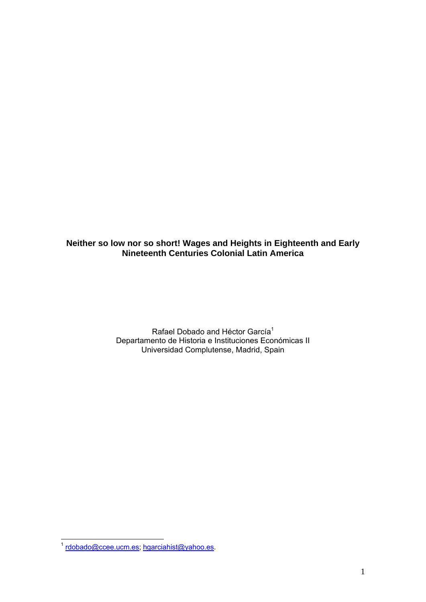**Neither so low nor so short! Wages and Heights in Eighteenth and Early Nineteenth Centuries Colonial Latin America** 

> Rafael Dobado and Héctor García<sup>1</sup> Departamento de Historia e Instituciones Económicas II Universidad Complutense, Madrid, Spain

<sup>1</sup> <sup>1</sup> rdobado@ccee.ucm.es; hgarciahist@yahoo.es.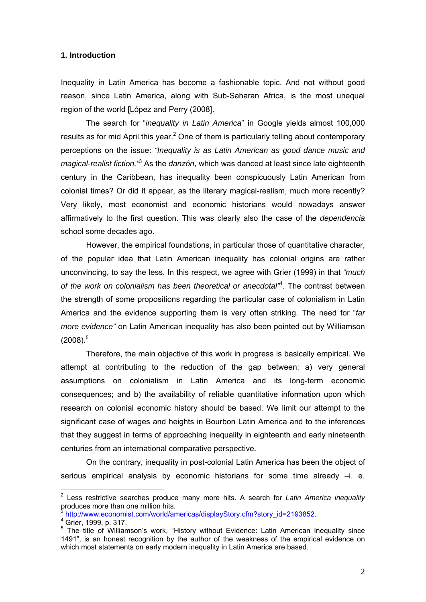# **1. Introduction**

Inequality in Latin America has become a fashionable topic. And not without good reason, since Latin America, along with Sub-Saharan Africa, is the most unequal region of the world [López and Perry (2008].

The search for "*inequality in Latin America*" in Google yields almost 100,000 results as for mid April this year.<sup>2</sup> One of them is particularly telling about contemporary perceptions on the issue: *"Inequality is as Latin American as good dance music and magical-realist fiction."*<sup>3</sup> As the *danzón*, which was danced at least since late eighteenth century in the Caribbean, has inequality been conspicuously Latin American from colonial times? Or did it appear, as the literary magical-realism, much more recently? Very likely, most economist and economic historians would nowadays answer affirmatively to the first question. This was clearly also the case of the *dependencia*  school some decades ago.

However, the empirical foundations, in particular those of quantitative character, of the popular idea that Latin American inequality has colonial origins are rather unconvincing, to say the less. In this respect, we agree with Grier (1999) in that *"much of the work on colonialism has been theoretical or anecdotal"*<sup>4</sup> . The contrast between the strength of some propositions regarding the particular case of colonialism in Latin America and the evidence supporting them is very often striking. The need for "*far more evidence"* on Latin American inequality has also been pointed out by Williamson  $(2008).$ <sup>5</sup>

Therefore, the main objective of this work in progress is basically empirical. We attempt at contributing to the reduction of the gap between: a) very general assumptions on colonialism in Latin America and its long-term economic consequences; and b) the availability of reliable quantitative information upon which research on colonial economic history should be based. We limit our attempt to the significant case of wages and heights in Bourbon Latin America and to the inferences that they suggest in terms of approaching inequality in eighteenth and early nineteenth centuries from an international comparative perspective.

On the contrary, inequality in post-colonial Latin America has been the object of serious empirical analysis by economic historians for some time already –i. e.

<sup>1</sup> 2 Less restrictive searches produce many more hits. A search for *Latin America inequality* produces more than one million hits.

http://www.economist.com/world/americas/displayStory.cfm?story\_id=2193852.

<sup>4</sup> Grier, 1999, p. 317.

<sup>&</sup>lt;sup>5</sup> The title of Williamson's work, "History without Evidence: Latin American Inequality since 1491", is an honest recognition by the author of the weakness of the empirical evidence on which most statements on early modern inequality in Latin America are based.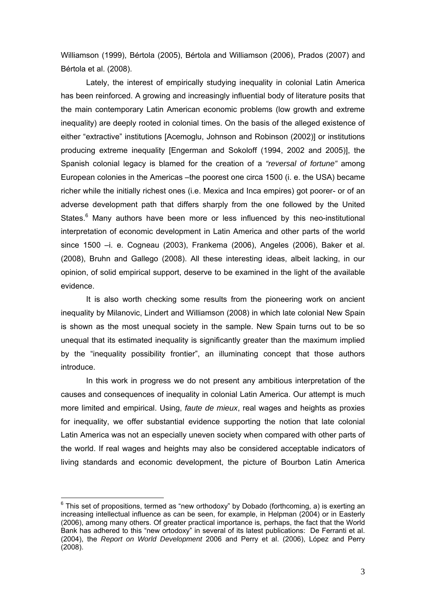Williamson (1999), Bértola (2005), Bértola and Williamson (2006), Prados (2007) and Bértola et al. (2008).

 Lately, the interest of empirically studying inequality in colonial Latin America has been reinforced. A growing and increasingly influential body of literature posits that the main contemporary Latin American economic problems (low growth and extreme inequality) are deeply rooted in colonial times. On the basis of the alleged existence of either "extractive" institutions [Acemoglu, Johnson and Robinson (2002)] or institutions producing extreme inequality [Engerman and Sokoloff (1994, 2002 and 2005)], the Spanish colonial legacy is blamed for the creation of a *"reversal of fortune"* among European colonies in the Americas –the poorest one circa 1500 (i. e. the USA) became richer while the initially richest ones (i.e. Mexica and Inca empires) got poorer- or of an adverse development path that differs sharply from the one followed by the United States.<sup>6</sup> Many authors have been more or less influenced by this neo-institutional interpretation of economic development in Latin America and other parts of the world since 1500 –i. e. Cogneau (2003), Frankema (2006), Angeles (2006), Baker et al. (2008), Bruhn and Gallego (2008). All these interesting ideas, albeit lacking, in our opinion, of solid empirical support, deserve to be examined in the light of the available evidence.

It is also worth checking some results from the pioneering work on ancient inequality by Milanovic, Lindert and Williamson (2008) in which late colonial New Spain is shown as the most unequal society in the sample. New Spain turns out to be so unequal that its estimated inequality is significantly greater than the maximum implied by the "inequality possibility frontier", an illuminating concept that those authors introduce.

 In this work in progress we do not present any ambitious interpretation of the causes and consequences of inequality in colonial Latin America. Our attempt is much more limited and empirical. Using, *faute de mieux*, real wages and heights as proxies for inequality, we offer substantial evidence supporting the notion that late colonial Latin America was not an especially uneven society when compared with other parts of the world. If real wages and heights may also be considered acceptable indicators of living standards and economic development, the picture of Bourbon Latin America

 6 This set of propositions, termed as "new orthodoxy" by Dobado (forthcoming, a) is exerting an increasing intellectual influence as can be seen, for example, in Helpman (2004) or in Easterly (2006), among many others. Of greater practical importance is, perhaps, the fact that the World Bank has adhered to this "new ortodoxy" in several of its latest publications: De Ferranti et al. (2004), the *Report on World Development* 2006 and Perry et al. (2006), López and Perry (2008).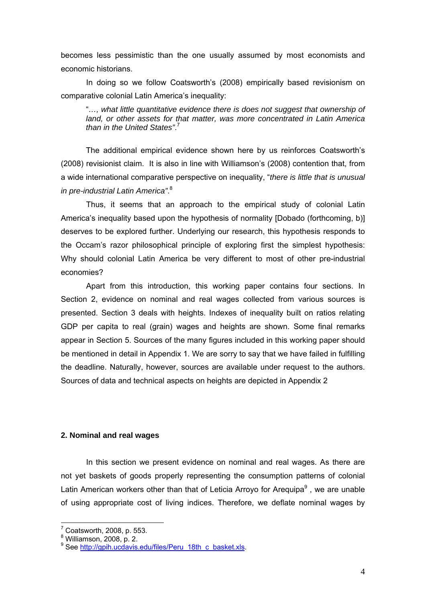becomes less pessimistic than the one usually assumed by most economists and economic historians.

 In doing so we follow Coatsworth's (2008) empirically based revisionism on comparative colonial Latin America's inequality:

"*…, what little quantitative evidence there is does not suggest that ownership of land, or other assets for that matter, was more concentrated in Latin America than in the United States"*. 7

The additional empirical evidence shown here by us reinforces Coatsworth's (2008) revisionist claim. It is also in line with Williamson's (2008) contention that, from a wide international comparative perspective on inequality, "*there is little that is unusual in pre-industrial Latin America"*. 8

 Thus, it seems that an approach to the empirical study of colonial Latin America's inequality based upon the hypothesis of normality [Dobado (forthcoming, b)] deserves to be explored further. Underlying our research, this hypothesis responds to the Occam's razor philosophical principle of exploring first the simplest hypothesis: Why should colonial Latin America be very different to most of other pre-industrial economies?

Apart from this introduction, this working paper contains four sections. In Section 2, evidence on nominal and real wages collected from various sources is presented. Section 3 deals with heights. Indexes of inequality built on ratios relating GDP per capita to real (grain) wages and heights are shown. Some final remarks appear in Section 5. Sources of the many figures included in this working paper should be mentioned in detail in Appendix 1. We are sorry to say that we have failed in fulfilling the deadline. Naturally, however, sources are available under request to the authors. Sources of data and technical aspects on heights are depicted in Appendix 2

# **2. Nominal and real wages**

In this section we present evidence on nominal and real wages. As there are not yet baskets of goods properly representing the consumption patterns of colonial Latin American workers other than that of Leticia Arroyo for Arequipa $9$ , we are unable of using appropriate cost of living indices. Therefore, we deflate nominal wages by

 $7$  Coatsworth, 2008, p. 553.

 $<sup>8</sup>$  Williamson, 2008, p. 2.</sup>

<sup>&</sup>lt;sup>9</sup> See http://gpih.ucdavis.edu/files/Peru\_18th\_c\_basket.xls.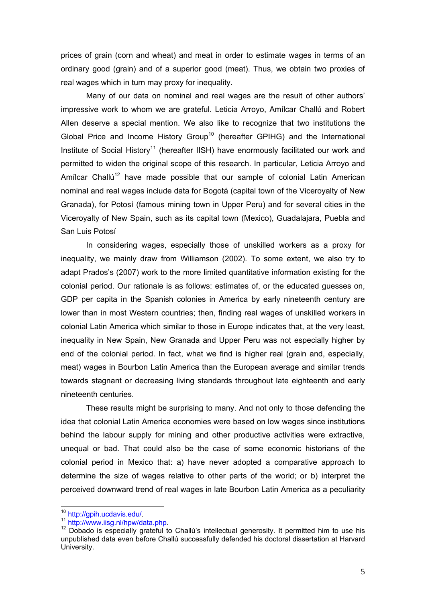prices of grain (corn and wheat) and meat in order to estimate wages in terms of an ordinary good (grain) and of a superior good (meat). Thus, we obtain two proxies of real wages which in turn may proxy for inequality.

 Many of our data on nominal and real wages are the result of other authors' impressive work to whom we are grateful. Leticia Arroyo, Amílcar Challú and Robert Allen deserve a special mention. We also like to recognize that two institutions the Global Price and Income History Group<sup>10</sup> (hereafter GPIHG) and the International Institute of Social History<sup>11</sup> (hereafter IISH) have enormously facilitated our work and permitted to widen the original scope of this research. In particular, Leticia Arroyo and Amílcar Challú<sup>12</sup> have made possible that our sample of colonial Latin American nominal and real wages include data for Bogotá (capital town of the Viceroyalty of New Granada), for Potosí (famous mining town in Upper Peru) and for several cities in the Viceroyalty of New Spain, such as its capital town (Mexico), Guadalajara, Puebla and San Luis Potosí

 In considering wages, especially those of unskilled workers as a proxy for inequality, we mainly draw from Williamson (2002). To some extent, we also try to adapt Prados's (2007) work to the more limited quantitative information existing for the colonial period. Our rationale is as follows: estimates of, or the educated guesses on, GDP per capita in the Spanish colonies in America by early nineteenth century are lower than in most Western countries; then, finding real wages of unskilled workers in colonial Latin America which similar to those in Europe indicates that, at the very least, inequality in New Spain, New Granada and Upper Peru was not especially higher by end of the colonial period. In fact, what we find is higher real (grain and, especially, meat) wages in Bourbon Latin America than the European average and similar trends towards stagnant or decreasing living standards throughout late eighteenth and early nineteenth centuries.

These results might be surprising to many. And not only to those defending the idea that colonial Latin America economies were based on low wages since institutions behind the labour supply for mining and other productive activities were extractive, unequal or bad. That could also be the case of some economic historians of the colonial period in Mexico that: a) have never adopted a comparative approach to determine the size of wages relative to other parts of the world; or b) interpret the perceived downward trend of real wages in late Bourbon Latin America as a peculiarity

<sup>&</sup>lt;sup>10</sup> http://apih.ucdavis.edu/.

<sup>11</sup> http://www.iisg.nl/hpw/data.php.<br><sup>11</sup> http://www.iisg.nl/hpw/data.php.<br><sup>12</sup> Dobado is especially grateful to Challú's intellectual generosity. It permitted him to use his unpublished data even before Challú successfully defended his doctoral dissertation at Harvard University.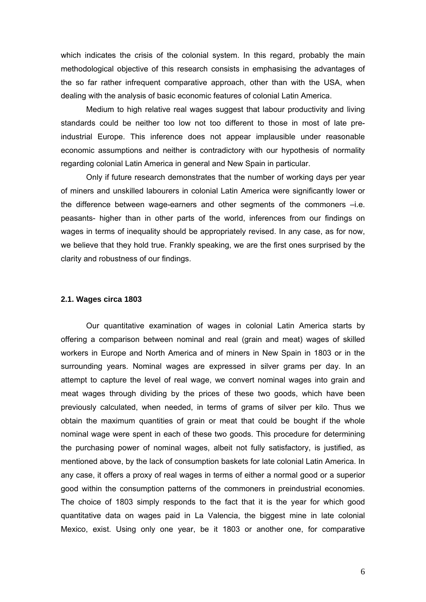which indicates the crisis of the colonial system. In this regard, probably the main methodological objective of this research consists in emphasising the advantages of the so far rather infrequent comparative approach, other than with the USA, when dealing with the analysis of basic economic features of colonial Latin America.

 Medium to high relative real wages suggest that labour productivity and living standards could be neither too low not too different to those in most of late preindustrial Europe. This inference does not appear implausible under reasonable economic assumptions and neither is contradictory with our hypothesis of normality regarding colonial Latin America in general and New Spain in particular.

 Only if future research demonstrates that the number of working days per year of miners and unskilled labourers in colonial Latin America were significantly lower or the difference between wage-earners and other segments of the commoners –i.e. peasants- higher than in other parts of the world, inferences from our findings on wages in terms of inequality should be appropriately revised. In any case, as for now, we believe that they hold true. Frankly speaking, we are the first ones surprised by the clarity and robustness of our findings.

## **2.1. Wages circa 1803**

Our quantitative examination of wages in colonial Latin America starts by offering a comparison between nominal and real (grain and meat) wages of skilled workers in Europe and North America and of miners in New Spain in 1803 or in the surrounding years. Nominal wages are expressed in silver grams per day. In an attempt to capture the level of real wage, we convert nominal wages into grain and meat wages through dividing by the prices of these two goods, which have been previously calculated, when needed, in terms of grams of silver per kilo. Thus we obtain the maximum quantities of grain or meat that could be bought if the whole nominal wage were spent in each of these two goods. This procedure for determining the purchasing power of nominal wages, albeit not fully satisfactory, is justified, as mentioned above, by the lack of consumption baskets for late colonial Latin America. In any case, it offers a proxy of real wages in terms of either a normal good or a superior good within the consumption patterns of the commoners in preindustrial economies. The choice of 1803 simply responds to the fact that it is the year for which good quantitative data on wages paid in La Valencia, the biggest mine in late colonial Mexico, exist. Using only one year, be it 1803 or another one, for comparative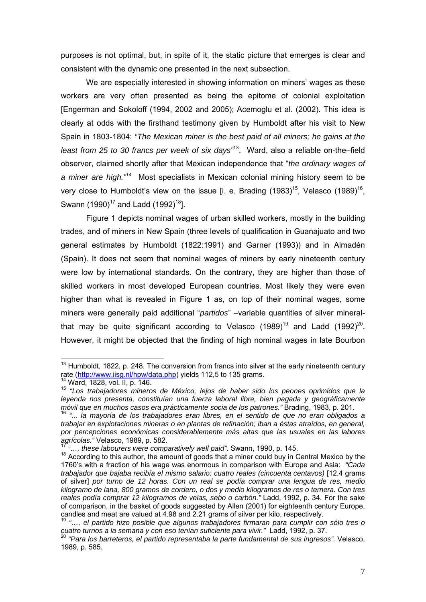purposes is not optimal, but, in spite of it, the static picture that emerges is clear and consistent with the dynamic one presented in the next subsection.

 We are especially interested in showing information on miners' wages as these workers are very often presented as being the epitome of colonial exploitation [Engerman and Sokoloff (1994, 2002 and 2005); Acemoglu et al. (2002). This idea is clearly at odds with the firsthand testimony given by Humboldt after his visit to New Spain in 1803-1804: *"The Mexican miner is the best paid of all miners; he gains at the least from 25 to 30 francs per week of six days"*13. Ward, also a reliable on-the–field observer, claimed shortly after that Mexican independence that "*the ordinary wages of a miner are high."14* Most specialists in Mexican colonial mining history seem to be very close to Humboldt's view on the issue [i. e. Brading  $(1983)^{15}$ , Velasco  $(1989)^{16}$ , Swann (1990)<sup>17</sup> and Ladd (1992)<sup>18</sup>].

Figure 1 depicts nominal wages of urban skilled workers, mostly in the building trades, and of miners in New Spain (three levels of qualification in Guanajuato and two general estimates by Humboldt (1822:1991) and Garner (1993)) and in Almadén (Spain). It does not seem that nominal wages of miners by early nineteenth century were low by international standards. On the contrary, they are higher than those of skilled workers in most developed European countries. Most likely they were even higher than what is revealed in Figure 1 as, on top of their nominal wages, some miners were generally paid additional "*partidos*" –variable quantities of silver mineralthat may be quite significant according to Velasco  $(1989)^{19}$  and Ladd  $(1992)^{20}$ . However, it might be objected that the finding of high nominal wages in late Bourbon

<u>.</u>

 $13$  Humboldt, 1822, p. 248. The conversion from francs into silver at the early nineteenth century rate (http://www.iisg.nl/hpw/data.php) yields 112,5 to 135 grams.<br><sup>14</sup> Ward, 1828, vol. II, p. 146.<br><sup>15</sup> "Los trabajadores mineros de México, lejos de haber sido los peones oprimidos que la

*leyenda nos presenta, constituían una fuerza laboral libre, bien pagada y geográficamente móvil que en muchos casos era prácticamente socia de los patrones."* Brading, 1983, p. 201.<sup>16</sup> *"... la mayoría de los trabajadores eran libres, en el sentido de que no eran obligados a* 

*trabajar en explotaciones mineras o en plantas de refinación; iban a éstas atraídos, en general, por percepciones económicas considerablemente más altas que las usuales en las labores agrícolas."* Velasco, 1989, p. 582.<br><sup>17</sup> " these labores was sense vivis de la constitución de la constitución de la constitución de l

<sup>&</sup>lt;sup>17</sup> "..., these labourers were comparatively well paid". Swann, 1990, p. 145.<br><sup>18</sup> According to this author, the amount of goods that a miner could buy in Central Mexico by the 1760's with a fraction of his wage was enormous in comparison with Europe and Asia: *"Cada trabajador que bajaba recibía el mismo salario: cuatro reales (cincuenta centavos)* [12.4 grams of silver] *por turno de 12 horas. Con un real se podía comprar una lengua de res, medio kilogramo de lana, 800 gramos de cordero, o dos y medio kilogramos de res o ternera. Con tres reales podía comprar 12 kilogramos de velas, sebo o carbón."* Ladd, 1992, p. 34. For the sake of comparison, in the basket of goods suggested by Allen (2001) for eighteenth century Europe, candles and meat are valued at 4.98 and 2.21 grams of silver per kilo, respectively.

<sup>&</sup>lt;sup>19</sup> "..., el partido hizo posible que algunos trabajadores firmaran para cumplir con sólo tres o *cuatro turnos a la semana y con eso tenían suficiente para vivir."* Ladd, 1992, p. 37. 20 *"Para los barreteros, el partido representaba la parte fundamental de sus ingresos".* Velasco,

<sup>1989,</sup> p. 585.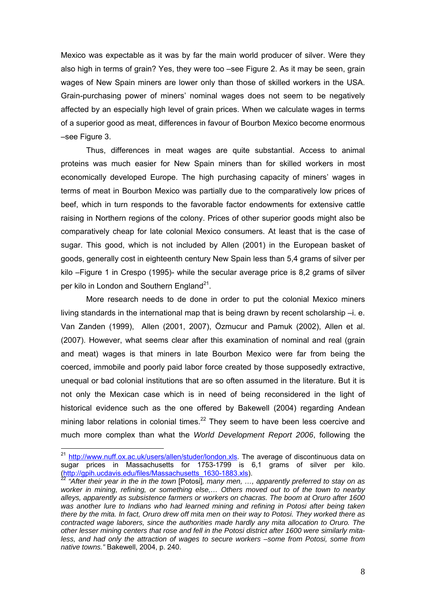Mexico was expectable as it was by far the main world producer of silver. Were they also high in terms of grain? Yes, they were too –see Figure 2. As it may be seen, grain wages of New Spain miners are lower only than those of skilled workers in the USA. Grain-purchasing power of miners' nominal wages does not seem to be negatively affected by an especially high level of grain prices. When we calculate wages in terms of a superior good as meat, differences in favour of Bourbon Mexico become enormous –see Figure 3.

 Thus, differences in meat wages are quite substantial. Access to animal proteins was much easier for New Spain miners than for skilled workers in most economically developed Europe. The high purchasing capacity of miners' wages in terms of meat in Bourbon Mexico was partially due to the comparatively low prices of beef, which in turn responds to the favorable factor endowments for extensive cattle raising in Northern regions of the colony. Prices of other superior goods might also be comparatively cheap for late colonial Mexico consumers. At least that is the case of sugar. This good, which is not included by Allen (2001) in the European basket of goods, generally cost in eighteenth century New Spain less than 5,4 grams of silver per kilo –Figure 1 in Crespo (1995)- while the secular average price is 8,2 grams of silver per kilo in London and Southern England<sup>21</sup>.

More research needs to de done in order to put the colonial Mexico miners living standards in the international map that is being drawn by recent scholarship –i. e. Van Zanden (1999), Allen (2001, 2007), Özmucur and Pamuk (2002), Allen et al. (2007). However, what seems clear after this examination of nominal and real (grain and meat) wages is that miners in late Bourbon Mexico were far from being the coerced, immobile and poorly paid labor force created by those supposedly extractive, unequal or bad colonial institutions that are so often assumed in the literature. But it is not only the Mexican case which is in need of being reconsidered in the light of historical evidence such as the one offered by Bakewell (2004) regarding Andean mining labor relations in colonial times. $^{22}$  They seem to have been less coercive and much more complex than what the *World Development Report 2006*, following the

<sup>&</sup>lt;sup>21</sup> http://www.nuff.ox.ac.uk/users/allen/studer/london.xls</u>. The average of discontinuous data on sugar prices in Massachusetts for 1753-1799 is 6,1 grams of silver per kilo. (http://gpih.ucdavis.edu/files/Massachusetts\_1630-1883.xls). 22 *"After their year in the in the town* [Potosi]*, many men, …, apparently preferred to stay on as* 

*worker in mining, refining, or something else,… Others moved out to of the town to nearby alleys, apparently as subsistence farmers or workers on chacras. The boom at Oruro after 1600*  was another lure to Indians who had learned mining and refining in Potosi after being taken *there by the mita. In fact, Oruro drew off mita men on their way to Potosi. They worked there as contracted wage laborers, since the authorities made hardly any mita allocation to Oruro. The other lesser mining centers that rose and fell in the Potosi district after 1600 were similarly mitaless, and had only the attraction of wages to secure workers –some from Potosi, some from native towns."* Bakewell, 2004, p. 240.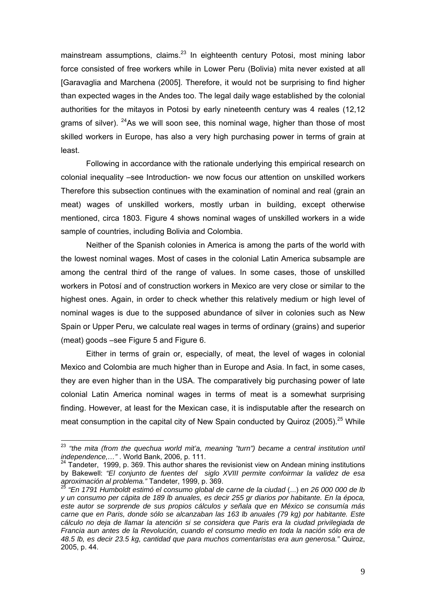mainstream assumptions, claims. $23$  In eighteenth century Potosi, most mining labor force consisted of free workers while in Lower Peru (Bolivia) mita never existed at all [Garavaglia and Marchena (2005]. Therefore, it would not be surprising to find higher than expected wages in the Andes too. The legal daily wage established by the colonial authorities for the mitayos in Potosi by early nineteenth century was 4 reales (12,12 grams of silver).  $24$ As we will soon see, this nominal wage, higher than those of most skilled workers in Europe, has also a very high purchasing power in terms of grain at least.

Following in accordance with the rationale underlying this empirical research on colonial inequality –see Introduction- we now focus our attention on unskilled workers Therefore this subsection continues with the examination of nominal and real (grain an meat) wages of unskilled workers, mostly urban in building, except otherwise mentioned, circa 1803. Figure 4 shows nominal wages of unskilled workers in a wide sample of countries, including Bolivia and Colombia.

 Neither of the Spanish colonies in America is among the parts of the world with the lowest nominal wages. Most of cases in the colonial Latin America subsample are among the central third of the range of values. In some cases, those of unskilled workers in Potosí and of construction workers in Mexico are very close or similar to the highest ones. Again, in order to check whether this relatively medium or high level of nominal wages is due to the supposed abundance of silver in colonies such as New Spain or Upper Peru, we calculate real wages in terms of ordinary (grains) and superior (meat) goods –see Figure 5 and Figure 6.

 Either in terms of grain or, especially, of meat, the level of wages in colonial Mexico and Colombia are much higher than in Europe and Asia. In fact, in some cases, they are even higher than in the USA. The comparatively big purchasing power of late colonial Latin America nominal wages in terms of meat is a somewhat surprising finding. However, at least for the Mexican case, it is indisputable after the research on meat consumption in the capital city of New Spain conducted by Quiroz (2005).<sup>25</sup> While

<sup>23</sup> *"the mita (from the quechua world mit'a, meaning "turn") became a central institution until independence,...*". World Bank, 2006, p. 111.<br><sup>24</sup> Tandeter, 1999, p. 369. This author shares the revisionist view on Andean mining institutions

by Bakewell: *"El conjunto de fuentes del siglo XVIII permite confoirmar la validez de esa* 

*aproximación al problema."* Tandeter, 1999, p. 369. 25 *"En 1791 Humboldt estimó el consumo global de carne de la ciudad* (...) *en 26 000 000 de lb y un consumo per cápita de 189 lb anuales, es decir 255 gr diarios por habitante. En la época, este autor se sorprende de sus propios cálculos y señala que en México se consumía más carne que en Paris, donde sólo se alcanzaban las 163 lb anuales (79 kg) por habitante. Este cálculo no deja de llamar la atención si se considera que Paris era la ciudad privilegiada de Francia aun antes de la Revolución, cuando el consumo medio en toda la nación sólo era de 48.5 lb, es decir 23.5 kg, cantidad que para muchos comentaristas era aun generosa."* Quiroz, 2005, p. 44.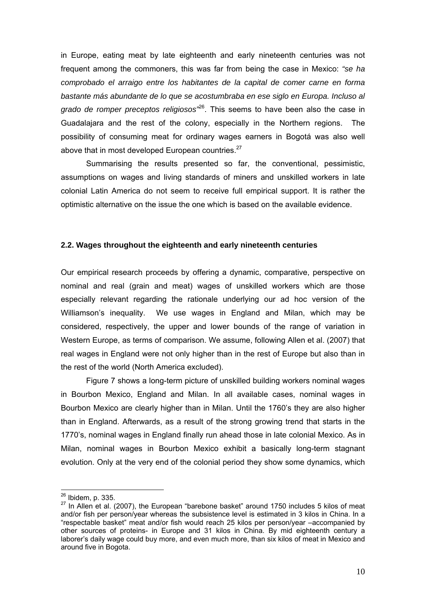in Europe, eating meat by late eighteenth and early nineteenth centuries was not frequent among the commoners, this was far from being the case in Mexico: *"se ha comprobado el arraigo entre los habitantes de la capital de comer carne en forma*  bastante más abundante de lo que se acostumbraba en ese siglo en Europa. Incluso al *grado de romper preceptos religiosos"*26. This seems to have been also the case in Guadalajara and the rest of the colony, especially in the Northern regions. The possibility of consuming meat for ordinary wages earners in Bogotá was also well above that in most developed European countries. $27$ 

Summarising the results presented so far, the conventional, pessimistic, assumptions on wages and living standards of miners and unskilled workers in late colonial Latin America do not seem to receive full empirical support. It is rather the optimistic alternative on the issue the one which is based on the available evidence.

# **2.2. Wages throughout the eighteenth and early nineteenth centuries**

Our empirical research proceeds by offering a dynamic, comparative, perspective on nominal and real (grain and meat) wages of unskilled workers which are those especially relevant regarding the rationale underlying our ad hoc version of the Williamson's inequality. We use wages in England and Milan, which may be considered, respectively, the upper and lower bounds of the range of variation in Western Europe, as terms of comparison. We assume, following Allen et al. (2007) that real wages in England were not only higher than in the rest of Europe but also than in the rest of the world (North America excluded).

 Figure 7 shows a long-term picture of unskilled building workers nominal wages in Bourbon Mexico, England and Milan. In all available cases, nominal wages in Bourbon Mexico are clearly higher than in Milan. Until the 1760's they are also higher than in England. Afterwards, as a result of the strong growing trend that starts in the 1770's, nominal wages in England finally run ahead those in late colonial Mexico. As in Milan, nominal wages in Bourbon Mexico exhibit a basically long-term stagnant evolution. Only at the very end of the colonial period they show some dynamics, which

<sup>&</sup>lt;sup>26</sup> Ibidem, p. 335.<br><sup>27</sup> In Allen et al. (2007), the European "barebone basket" around 1750 includes 5 kilos of meat and/or fish per person/year whereas the subsistence level is estimated in 3 kilos in China. In a "respectable basket" meat and/or fish would reach 25 kilos per person/year –accompanied by other sources of proteins- in Europe and 31 kilos in China. By mid eighteenth century a laborer's daily wage could buy more, and even much more, than six kilos of meat in Mexico and around five in Bogota.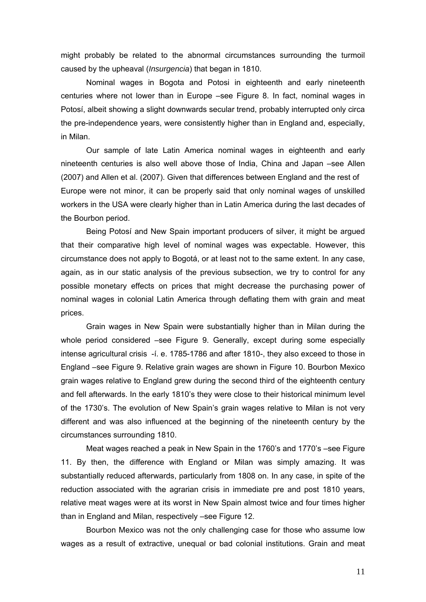might probably be related to the abnormal circumstances surrounding the turmoil caused by the upheaval (*Insurgencia*) that began in 1810.

 Nominal wages in Bogota and Potosi in eighteenth and early nineteenth centuries where not lower than in Europe –see Figure 8. In fact, nominal wages in Potosí, albeit showing a slight downwards secular trend, probably interrupted only circa the pre-independence years, were consistently higher than in England and, especially, in Milan.

 Our sample of late Latin America nominal wages in eighteenth and early nineteenth centuries is also well above those of India, China and Japan –see Allen (2007) and Allen et al. (2007). Given that differences between England and the rest of Europe were not minor, it can be properly said that only nominal wages of unskilled workers in the USA were clearly higher than in Latin America during the last decades of the Bourbon period.

 Being Potosí and New Spain important producers of silver, it might be argued that their comparative high level of nominal wages was expectable. However, this circumstance does not apply to Bogotá, or at least not to the same extent. In any case, again, as in our static analysis of the previous subsection, we try to control for any possible monetary effects on prices that might decrease the purchasing power of nominal wages in colonial Latin America through deflating them with grain and meat prices.

 Grain wages in New Spain were substantially higher than in Milan during the whole period considered –see Figure 9. Generally, except during some especially intense agricultural crisis -í. e. 1785-1786 and after 1810-, they also exceed to those in England –see Figure 9. Relative grain wages are shown in Figure 10. Bourbon Mexico grain wages relative to England grew during the second third of the eighteenth century and fell afterwards. In the early 1810's they were close to their historical minimum level of the 1730's. The evolution of New Spain's grain wages relative to Milan is not very different and was also influenced at the beginning of the nineteenth century by the circumstances surrounding 1810.

 Meat wages reached a peak in New Spain in the 1760's and 1770's –see Figure 11. By then, the difference with England or Milan was simply amazing. It was substantially reduced afterwards, particularly from 1808 on. In any case, in spite of the reduction associated with the agrarian crisis in immediate pre and post 1810 years, relative meat wages were at its worst in New Spain almost twice and four times higher than in England and Milan, respectively –see Figure 12.

Bourbon Mexico was not the only challenging case for those who assume low wages as a result of extractive, unequal or bad colonial institutions. Grain and meat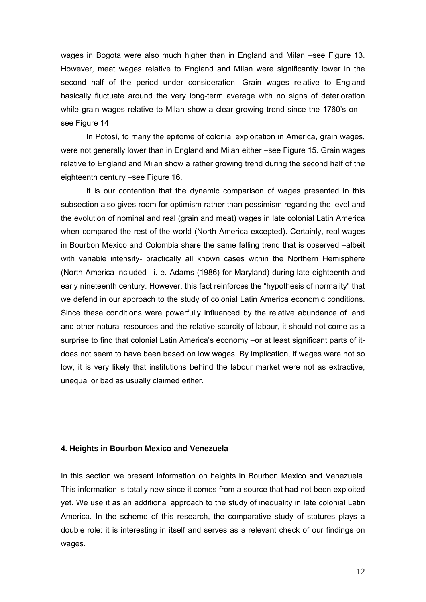wages in Bogota were also much higher than in England and Milan –see Figure 13. However, meat wages relative to England and Milan were significantly lower in the second half of the period under consideration. Grain wages relative to England basically fluctuate around the very long-term average with no signs of deterioration while grain wages relative to Milan show a clear growing trend since the 1760's on see Figure 14.

 In Potosí, to many the epitome of colonial exploitation in America, grain wages, were not generally lower than in England and Milan either –see Figure 15. Grain wages relative to England and Milan show a rather growing trend during the second half of the eighteenth century –see Figure 16.

 It is our contention that the dynamic comparison of wages presented in this subsection also gives room for optimism rather than pessimism regarding the level and the evolution of nominal and real (grain and meat) wages in late colonial Latin America when compared the rest of the world (North America excepted). Certainly, real wages in Bourbon Mexico and Colombia share the same falling trend that is observed –albeit with variable intensity- practically all known cases within the Northern Hemisphere (North America included –i. e. Adams (1986) for Maryland) during late eighteenth and early nineteenth century. However, this fact reinforces the "hypothesis of normality" that we defend in our approach to the study of colonial Latin America economic conditions. Since these conditions were powerfully influenced by the relative abundance of land and other natural resources and the relative scarcity of labour, it should not come as a surprise to find that colonial Latin America's economy –or at least significant parts of itdoes not seem to have been based on low wages. By implication, if wages were not so low, it is very likely that institutions behind the labour market were not as extractive, unequal or bad as usually claimed either.

## **4. Heights in Bourbon Mexico and Venezuela**

In this section we present information on heights in Bourbon Mexico and Venezuela. This information is totally new since it comes from a source that had not been exploited yet. We use it as an additional approach to the study of inequality in late colonial Latin America. In the scheme of this research, the comparative study of statures plays a double role: it is interesting in itself and serves as a relevant check of our findings on wages.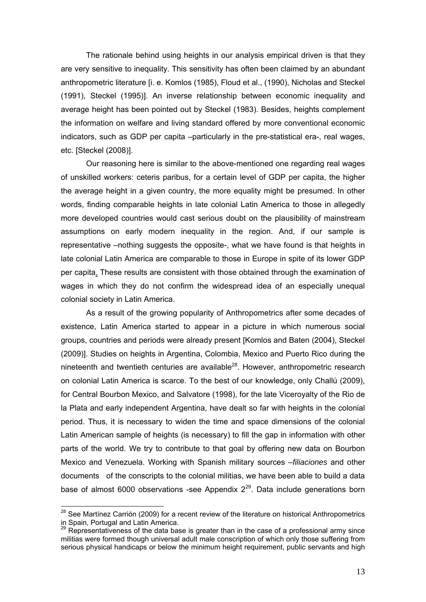The rationale behind using heights in our analysis empirical driven is that they are very sensitive to inequality. This sensitivity has often been claimed by an abundant anthropometric literature [i. e. Komlos (1985), Floud et al., (1990), Nicholas and Steckel (1991), Steckel (1995)]. An inverse relationship between economic inequality and average height has been pointed out by Steckel (1983). Besides, heights complement the information on welfare and living standard offered by more conventional economic indicators, such as GDP per capita –particularly in the pre-statistical era-, real wages, etc. [Steckel (2008)].

Our reasoning here is similar to the above-mentioned one regarding real wages of unskilled workers: ceteris paribus, for a certain level of GDP per capita, the higher the average height in a given country, the more equality might be presumed. In other words, finding comparable heights in late colonial Latin America to those in allegedly more developed countries would cast serious doubt on the plausibility of mainstream assumptions on early modern inequality in the region. And, if our sample is representative –nothing suggests the opposite-, what we have found is that heights in late colonial Latin America are comparable to those in Europe in spite of its lower GDP per capita. These results are consistent with those obtained through the examination of wages in which they do not confirm the widespread idea of an especially unequal colonial society in Latin America.

 As a result of the growing popularity of Anthropometrics after some decades of existence, Latin America started to appear in a picture in which numerous social groups, countries and periods were already present [Komlos and Baten (2004), Steckel (2009)]. Studies on heights in Argentina, Colombia, Mexico and Puerto Rico during the nineteenth and twentieth centuries are available $^{28}$ . However, anthropometric research on colonial Latin America is scarce. To the best of our knowledge, only Challú (2009), for Central Bourbon Mexico, and Salvatore (1998), for the late Viceroyalty of the Rio de la Plata and early independent Argentina, have dealt so far with heights in the colonial period. Thus, it is necessary to widen the time and space dimensions of the colonial Latin American sample of heights (is necessary) to fill the gap in information with other parts of the world. We try to contribute to that goal by offering new data on Bourbon Mexico and Venezuela. Working with Spanish military sources –*filiaciones* and other documents of the conscripts to the colonial militias, we have been able to build a data base of almost 6000 observations -see Appendix  $2^{29}$ . Data include generations born

 $^{28}$  See Martínez Carrión (2009) for a recent review of the literature on historical Anthropometrics in Spain, Portugal and Latin America.

 $29$  Representativeness of the data base is greater than in the case of a professional army since militias were formed though universal adult male conscription of which only those suffering from serious physical handicaps or below the minimum height requirement, public servants and high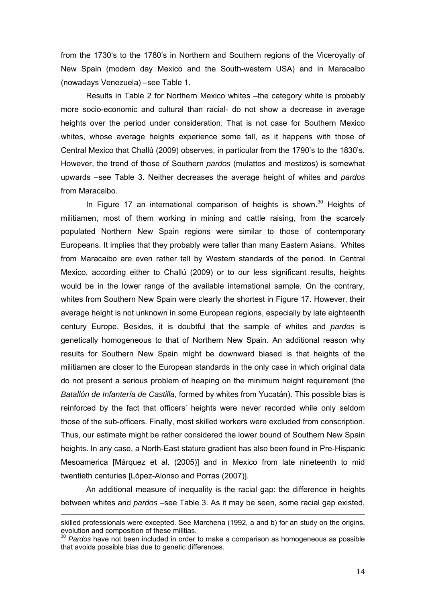from the 1730's to the 1780's in Northern and Southern regions of the Viceroyalty of New Spain (modern day Mexico and the South-western USA) and in Maracaibo (nowadays Venezuela) –see Table 1.

 Results in Table 2 for Northern Mexico whites –the category white is probably more socio-economic and cultural than racial- do not show a decrease in average heights over the period under consideration. That is not case for Southern Mexico whites, whose average heights experience some fall, as it happens with those of Central Mexico that Challú (2009) observes, in particular from the 1790's to the 1830's. However, the trend of those of Southern *pardos* (mulattos and mestizos) is somewhat upwards –see Table 3. Neither decreases the average height of whites and *pardos*  from Maracaibo.

In Figure 17 an international comparison of heights is shown. $30$  Heights of militiamen, most of them working in mining and cattle raising, from the scarcely populated Northern New Spain regions were similar to those of contemporary Europeans. It implies that they probably were taller than many Eastern Asians. Whites from Maracaibo are even rather tall by Western standards of the period. In Central Mexico, according either to Challú (2009) or to our less significant results, heights would be in the lower range of the available international sample. On the contrary, whites from Southern New Spain were clearly the shortest in Figure 17. However, their average height is not unknown in some European regions, especially by late eighteenth century Europe. Besides, it is doubtful that the sample of whites and *pardos* is genetically homogeneous to that of Northern New Spain. An additional reason why results for Southern New Spain might be downward biased is that heights of the militiamen are closer to the European standards in the only case in which original data do not present a serious problem of heaping on the minimum height requirement (the *Batallón de Infantería de Castilla*, formed by whites from Yucatán). This possible bias is reinforced by the fact that officers' heights were never recorded while only seldom those of the sub-officers. Finally, most skilled workers were excluded from conscription. Thus, our estimate might be rather considered the lower bound of Southern New Spain heights. In any case, a North-East stature gradient has also been found in Pre-Hispanic Mesoamerica [Márquez et al. (2005)] and in Mexico from late nineteenth to mid twentieth centuries [López-Alonso and Porras (2007)].

 An additional measure of inequality is the racial gap: the difference in heights between whites and *pardos* –see Table 3. As it may be seen, some racial gap existed,

skilled professionals were excepted. See Marchena (1992, a and b) for an study on the origins, evolution and composition of these militias.

<sup>30</sup> *Pardos* have not been included in order to make a comparison as homogeneous as possible that avoids possible bias due to genetic differences.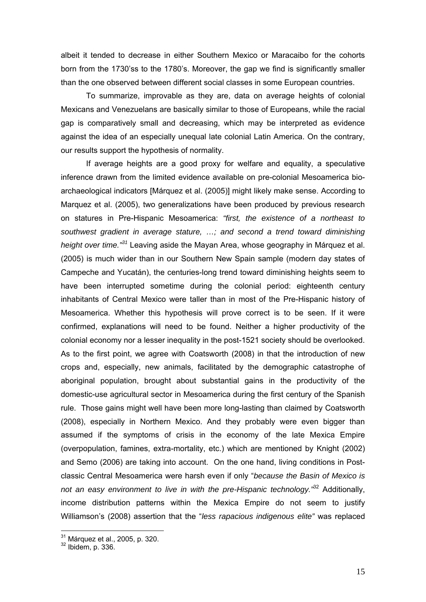albeit it tended to decrease in either Southern Mexico or Maracaibo for the cohorts born from the 1730'ss to the 1780's. Moreover, the gap we find is significantly smaller than the one observed between different social classes in some European countries.

 To summarize, improvable as they are, data on average heights of colonial Mexicans and Venezuelans are basically similar to those of Europeans, while the racial gap is comparatively small and decreasing, which may be interpreted as evidence against the idea of an especially unequal late colonial Latin America. On the contrary, our results support the hypothesis of normality.

If average heights are a good proxy for welfare and equality, a speculative inference drawn from the limited evidence available on pre-colonial Mesoamerica bioarchaeological indicators [Márquez et al. (2005)] might likely make sense. According to Marquez et al. (2005), two generalizations have been produced by previous research on statures in Pre-Hispanic Mesoamerica: *"first, the existence of a northeast to southwest gradient in average stature, …; and second a trend toward diminishing height over time."<sup>31</sup>* Leaving aside the Mayan Area, whose geography in Márquez et al. (2005) is much wider than in our Southern New Spain sample (modern day states of Campeche and Yucatán), the centuries-long trend toward diminishing heights seem to have been interrupted sometime during the colonial period: eighteenth century inhabitants of Central Mexico were taller than in most of the Pre-Hispanic history of Mesoamerica. Whether this hypothesis will prove correct is to be seen. If it were confirmed, explanations will need to be found. Neither a higher productivity of the colonial economy nor a lesser inequality in the post-1521 society should be overlooked. As to the first point, we agree with Coatsworth (2008) in that the introduction of new crops and, especially, new animals, facilitated by the demographic catastrophe of aboriginal population, brought about substantial gains in the productivity of the domestic-use agricultural sector in Mesoamerica during the first century of the Spanish rule. Those gains might well have been more long-lasting than claimed by Coatsworth (2008), especially in Northern Mexico. And they probably were even bigger than assumed if the symptoms of crisis in the economy of the late Mexica Empire (overpopulation, famines, extra-mortality, etc.) which are mentioned by Knight (2002) and Semo (2006) are taking into account. On the one hand, living conditions in Postclassic Central Mesoamerica were harsh even if only "*because the Basin of Mexico is*  not an easy environment to live in with the pre-Hispanic technology.<sup>332</sup> Additionally. income distribution patterns within the Mexica Empire do not seem to justify Williamson's (2008) assertion that the "*less rapacious indigenous elite"* was replaced

<sup>&</sup>lt;sup>31</sup> Márquez et al., 2005, p. 320.<br><sup>32</sup> Ibidem, p. 336.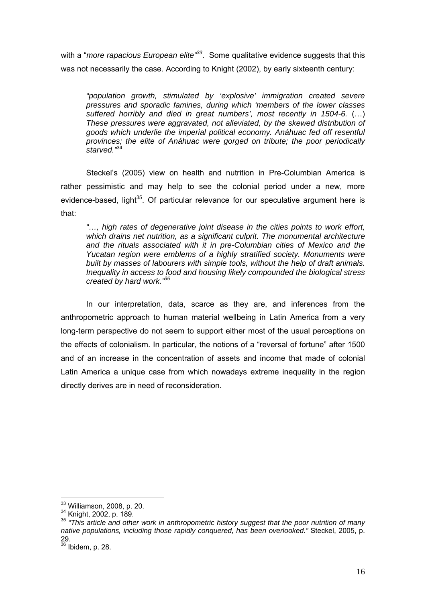with a "*more rapacious European elite*"<sup>33</sup>. Some qualitative evidence suggests that this was not necessarily the case. According to Knight (2002), by early sixteenth century:

*"population growth, stimulated by 'explosive' immigration created severe pressures and sporadic famines, during which 'members of the lower classes suffered horribly and died in great numbers', most recently in 1504-6.* (…) *These pressures were aggravated, not alleviated, by the skewed distribution of goods which underlie the imperial political economy. Anáhuac fed off resentful provinces; the elite of Anáhuac were gorged on tribute; the poor periodically starved."*<sup>34</sup>

Steckel's (2005) view on health and nutrition in Pre-Columbian America is rather pessimistic and may help to see the colonial period under a new, more evidence-based, light<sup>35</sup>. Of particular relevance for our speculative argument here is that:

*"…, high rates of degenerative joint disease in the cities points to work effort, which drains net nutrition, as a significant culprit. The monumental architecture and the rituals associated with it in pre-Columbian cities of Mexico and the Yucatan region were emblems of a highly stratified society. Monuments were built by masses of labourers with simple tools, without the help of draft animals. Inequality in access to food and housing likely compounded the biological stress created by hard work."36*

In our interpretation, data, scarce as they are, and inferences from the anthropometric approach to human material wellbeing in Latin America from a very long-term perspective do not seem to support either most of the usual perceptions on the effects of colonialism. In particular, the notions of a "reversal of fortune" after 1500 and of an increase in the concentration of assets and income that made of colonial Latin America a unique case from which nowadays extreme inequality in the region directly derives are in need of reconsideration.

<sup>&</sup>lt;sup>33</sup> Williamson, 2008, p. 20.

<sup>33</sup> Williamson, 2008, p. 20. 34 Knight, 2002, p. 189. 35 *"This article and other work in anthropometric history suggest that the poor nutrition of many native populations, including those rapidly conquered, has been overlooked."* Steckel, 2005, p. 29.

 $36$  Ibidem, p. 28.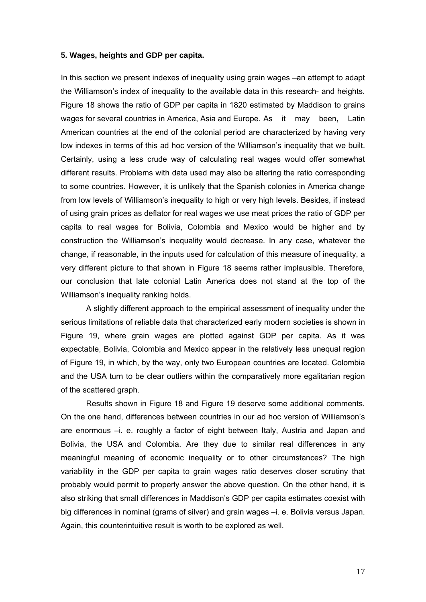## **5. Wages, heights and GDP per capita.**

In this section we present indexes of inequality using grain wages –an attempt to adapt the Williamson's index of inequality to the available data in this research- and heights. Figure 18 shows the ratio of GDP per capita in 1820 estimated by Maddison to grains wages for several countries in America, Asia and Europe. As it may been**,** Latin American countries at the end of the colonial period are characterized by having very low indexes in terms of this ad hoc version of the Williamson's inequality that we built. Certainly, using a less crude way of calculating real wages would offer somewhat different results. Problems with data used may also be altering the ratio corresponding to some countries. However, it is unlikely that the Spanish colonies in America change from low levels of Williamson's inequality to high or very high levels. Besides, if instead of using grain prices as deflator for real wages we use meat prices the ratio of GDP per capita to real wages for Bolivia, Colombia and Mexico would be higher and by construction the Williamson's inequality would decrease. In any case, whatever the change, if reasonable, in the inputs used for calculation of this measure of inequality, a very different picture to that shown in Figure 18 seems rather implausible. Therefore, our conclusion that late colonial Latin America does not stand at the top of the Williamson's inequality ranking holds.

 A slightly different approach to the empirical assessment of inequality under the serious limitations of reliable data that characterized early modern societies is shown in Figure 19, where grain wages are plotted against GDP per capita. As it was expectable, Bolivia, Colombia and Mexico appear in the relatively less unequal region of Figure 19, in which, by the way, only two European countries are located. Colombia and the USA turn to be clear outliers within the comparatively more egalitarian region of the scattered graph.

Results shown in Figure 18 and Figure 19 deserve some additional comments. On the one hand, differences between countries in our ad hoc version of Williamson's are enormous –i. e. roughly a factor of eight between Italy, Austria and Japan and Bolivia, the USA and Colombia. Are they due to similar real differences in any meaningful meaning of economic inequality or to other circumstances? The high variability in the GDP per capita to grain wages ratio deserves closer scrutiny that probably would permit to properly answer the above question. On the other hand, it is also striking that small differences in Maddison's GDP per capita estimates coexist with big differences in nominal (grams of silver) and grain wages -i. e. Bolivia versus Japan. Again, this counterintuitive result is worth to be explored as well.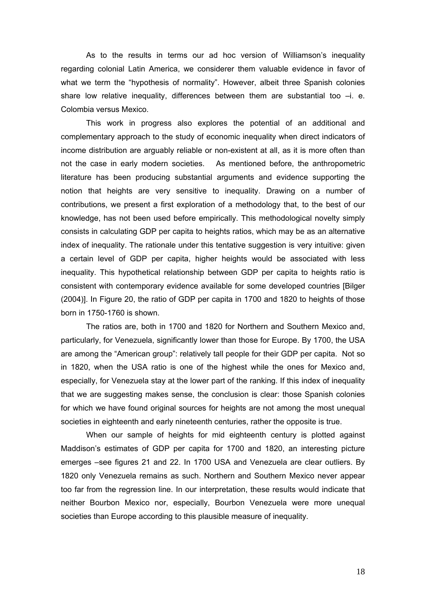As to the results in terms our ad hoc version of Williamson's inequality regarding colonial Latin America, we considerer them valuable evidence in favor of what we term the "hypothesis of normality". However, albeit three Spanish colonies share low relative inequality, differences between them are substantial too  $-i$ . e. Colombia versus Mexico.

This work in progress also explores the potential of an additional and complementary approach to the study of economic inequality when direct indicators of income distribution are arguably reliable or non-existent at all, as it is more often than not the case in early modern societies. As mentioned before, the anthropometric literature has been producing substantial arguments and evidence supporting the notion that heights are very sensitive to inequality. Drawing on a number of contributions, we present a first exploration of a methodology that, to the best of our knowledge, has not been used before empirically. This methodological novelty simply consists in calculating GDP per capita to heights ratios, which may be as an alternative index of inequality. The rationale under this tentative suggestion is very intuitive: given a certain level of GDP per capita, higher heights would be associated with less inequality. This hypothetical relationship between GDP per capita to heights ratio is consistent with contemporary evidence available for some developed countries [Bilger (2004)]. In Figure 20, the ratio of GDP per capita in 1700 and 1820 to heights of those born in 1750-1760 is shown.

The ratios are, both in 1700 and 1820 for Northern and Southern Mexico and, particularly, for Venezuela, significantly lower than those for Europe. By 1700, the USA are among the "American group": relatively tall people for their GDP per capita. Not so in 1820, when the USA ratio is one of the highest while the ones for Mexico and, especially, for Venezuela stay at the lower part of the ranking. If this index of inequality that we are suggesting makes sense, the conclusion is clear: those Spanish colonies for which we have found original sources for heights are not among the most unequal societies in eighteenth and early nineteenth centuries, rather the opposite is true.

 When our sample of heights for mid eighteenth century is plotted against Maddison's estimates of GDP per capita for 1700 and 1820, an interesting picture emerges –see figures 21 and 22. In 1700 USA and Venezuela are clear outliers. By 1820 only Venezuela remains as such. Northern and Southern Mexico never appear too far from the regression line. In our interpretation, these results would indicate that neither Bourbon Mexico nor, especially, Bourbon Venezuela were more unequal societies than Europe according to this plausible measure of inequality.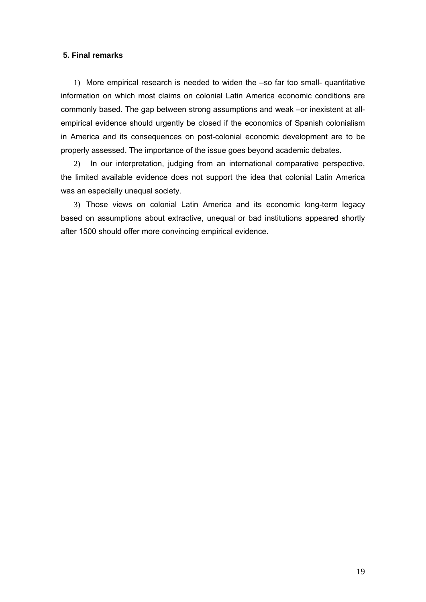# **5. Final remarks**

1) More empirical research is needed to widen the –so far too small- quantitative information on which most claims on colonial Latin America economic conditions are commonly based. The gap between strong assumptions and weak –or inexistent at allempirical evidence should urgently be closed if the economics of Spanish colonialism in America and its consequences on post-colonial economic development are to be properly assessed. The importance of the issue goes beyond academic debates.

2) In our interpretation, judging from an international comparative perspective, the limited available evidence does not support the idea that colonial Latin America was an especially unequal society.

3) Those views on colonial Latin America and its economic long-term legacy based on assumptions about extractive, unequal or bad institutions appeared shortly after 1500 should offer more convincing empirical evidence.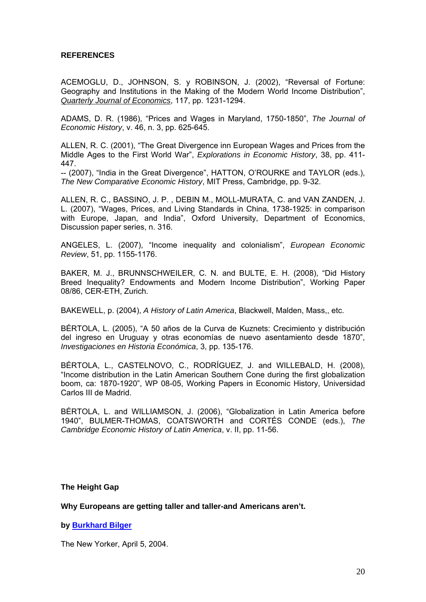# **REFERENCES**

ACEMOGLU, D., JOHNSON, S. y ROBINSON, J. (2002), "Reversal of Fortune: Geography and Institutions in the Making of the Modern World Income Distribution", *Quarterly Journal of Economics*, 117, pp. 1231-1294.

ADAMS, D. R. (1986), "Prices and Wages in Maryland, 1750-1850", *The Journal of Economic History*, v. 46, n. 3, pp. 625-645.

ALLEN, R. C. (2001), "The Great Divergence inn European Wages and Prices from the Middle Ages to the First World War", *Explorations in Economic History*, 38, pp. 411- 447.

-- (2007), "India in the Great Divergence", HATTON, O'ROURKE and TAYLOR (eds.), *The New Comparative Economic History*, MIT Press, Cambridge, pp. 9-32.

ALLEN, R. C., BASSINO, J. P. , DEBIN M., MOLL-MURATA, C. and VAN ZANDEN, J. L. (2007), "Wages, Prices, and Living Standards in China, 1738-1925: in comparison with Europe, Japan, and India", Oxford University, Department of Economics, Discussion paper series, n. 316.

ANGELES, L. (2007), "Income inequality and colonialism", *European Economic Review*, 51, pp. 1155-1176.

BAKER, M. J., BRUNNSCHWEILER, C. N. and BULTE, E. H. (2008), "Did History Breed Inequality? Endowments and Modern Income Distribution", Working Paper 08/86, CER-ETH, Zurich.

BAKEWELL, p. (2004), *A History of Latin America*, Blackwell, Malden, Mass,, etc.

BÉRTOLA, L. (2005), "A 50 años de la Curva de Kuznets: Crecimiento y distribución del ingreso en Uruguay y otras economías de nuevo asentamiento desde 1870", *Investigaciones en Historia Económica*, 3, pp. 135-176.

BÉRTOLA, L., CASTELNOVO, C., RODRÍGUEZ, J. and WILLEBALD, H. (2008), "Income distribution in the Latin American Southern Cone during the first globalization boom, ca: 1870-1920", WP 08-05, Working Papers in Economic History, Universidad Carlos III de Madrid.

BÉRTOLA, L. and WILLIAMSON, J. (2006), "Globalization in Latin America before 1940", BULMER-THOMAS, COATSWORTH and CORTÉS CONDE (eds.), *The Cambridge Economic History of Latin America*, v. II, pp. 11-56.

**The Height Gap** 

**Why Europeans are getting taller and taller-and Americans aren't.** 

**by Burkhard Bilger** 

The New Yorker, April 5, 2004.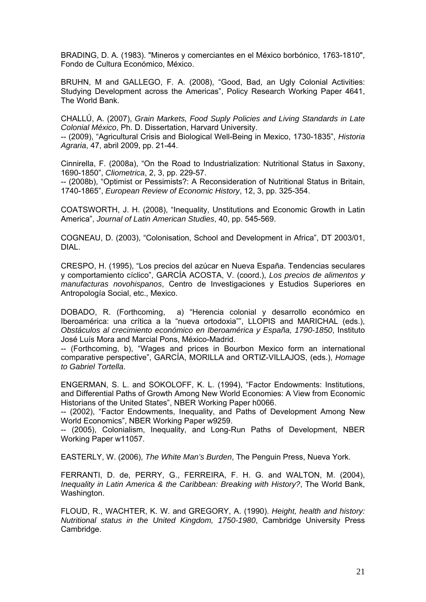BRADING, D. A. (1983). "Mineros y comerciantes en el México borbónico, 1763-1810", Fondo de Cultura Económico, México.

BRUHN, M and GALLEGO, F. A. (2008), "Good, Bad, an Ugly Colonial Activities: Studying Development across the Americas", Policy Research Working Paper 4641, The World Bank.

CHALLÚ, A. (2007), *Grain Markets, Food Suply Policies and Living Standards in Late Colonial México*, Ph. D. Dissertation, Harvard University.

-- (2009), "Agricultural Crisis and Biological Well-Being in Mexico, 1730-1835", *Historia Agraria*, 47, abril 2009, pp. 21-44.

Cinnirella, F. (2008a), "On the Road to Industrialization: Nutritional Status in Saxony, 1690-1850", *Cliometrica*, 2, 3, pp. 229-57.

-- (2008b), "Optimist or Pessimists?: A Reconsideration of Nutritional Status in Britain, 1740-1865", *European Review of Economic History*, 12, 3, pp. 325-354.

COATSWORTH, J. H. (2008), "Inequality, Unstitutions and Economic Growth in Latin America", *Journal of Latin American Studies*, 40, pp. 545-569.

COGNEAU, D. (2003), "Colonisation, School and Development in Africa", DT 2003/01, DIAL.

CRESPO, H. (1995), "Los precios del azúcar en Nueva España. Tendencias seculares y comportamiento cíclico", GARCÍA ACOSTA, V. (coord.), *Los precios de alimentos y manufacturas novohispanos*, Centro de Investigaciones y Estudios Superiores en Antropología Social, etc., Mexico.

DOBADO, R. (Forthcoming, a) "Herencia colonial y desarrollo económico en Iberoamérica: una crítica a la "nueva ortodoxia"", LLOPIS and MARICHAL (eds.), *Obstáculos al crecimiento económico en Iberoamérica y España, 1790-1850*, Instituto José Luís Mora and Marcial Pons, México-Madrid.

-- (Forthcoming, b), "Wages and prices in Bourbon Mexico form an international comparative perspective", GARCÍA, MORILLA and ORTIZ-VILLAJOS, (eds.), *Homage to Gabriel Tortella*.

ENGERMAN, S. L. and SOKOLOFF, K. L. (1994), "Factor Endowments: Institutions, and Differential Paths of Growth Among New World Economies: A View from Economic Historians of the United States", NBER Working Paper h0066.

-- (2002), "Factor Endowments, Inequality, and Paths of Development Among New World Economics", NBER Working Paper w9259.

-- (2005), Colonialism, Inequality, and Long-Run Paths of Development, NBER Working Paper w11057.

EASTERLY, W. (2006), *The White Man's Burden*, The Penguin Press, Nueva York.

FERRANTI, D. de, PERRY, G., FERREIRA, F. H. G. and WALTON, M. (2004), *Inequality in Latin America & the Caribbean: Breaking with History?*, The World Bank, Washington.

FLOUD, R., WACHTER, K. W. and GREGORY, A. (1990). *Height, health and history: Nutritional status in the United Kingdom, 1750-1980*, Cambridge University Press Cambridge.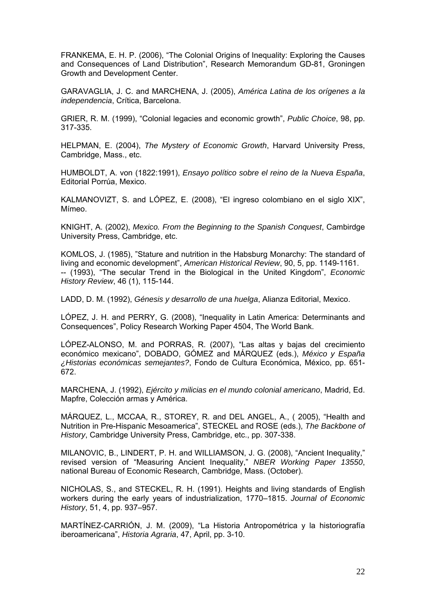FRANKEMA, E. H. P. (2006), "The Colonial Origins of Inequality: Exploring the Causes and Consequences of Land Distribution", Research Memorandum GD-81, Groningen Growth and Development Center.

GARAVAGLIA, J. C. and MARCHENA, J. (2005), *América Latina de los orígenes a la independencia*, Crítica, Barcelona.

GRIER, R. M. (1999), "Colonial legacies and economic growth", *Public Choice*, 98, pp. 317-335.

HELPMAN, E. (2004), *The Mystery of Economic Growth*, Harvard University Press, Cambridge, Mass., etc.

HUMBOLDT, A. von (1822:1991), *Ensayo político sobre el reino de la Nueva España*, Editorial Porrúa, Mexico.

KALMANOVIZT, S. and LÓPEZ, E. (2008), "El ingreso colombiano en el siglo XIX", Mímeo.

KNIGHT, A. (2002), *Mexico. From the Beginning to the Spanish Conquest*, Cambirdge University Press, Cambridge, etc.

KOMLOS, J. (1985), "Stature and nutrition in the Habsburg Monarchy: The standard of living and economic development", *American Historical Review*, 90, 5, pp. 1149-1161. -- (1993), "The secular Trend in the Biological in the United Kingdom", *Economic History Review*, 46 (1), 115-144.

LADD, D. M. (1992), *Génesis y desarrollo de una huelga*, Alianza Editorial, Mexico.

LÓPEZ, J. H. and PERRY, G. (2008), "Inequality in Latin America: Determinants and Consequences", Policy Research Working Paper 4504, The World Bank.

LÓPEZ-ALONSO, M. and PORRAS, R. (2007), "Las altas y bajas del crecimiento económico mexicano", DOBADO, GÓMEZ and MÁRQUEZ (eds.), *México y España ¿Historias económicas semejantes?*, Fondo de Cultura Económica, México, pp. 651- 672.

MARCHENA, J. (1992), *Ejército y milicias en el mundo colonial americano*, Madrid, Ed. Mapfre, Colección armas y América.

MÁRQUEZ, L., MCCAA, R., STOREY, R. and DEL ANGEL, A., ( 2005), "Health and Nutrition in Pre-Hispanic Mesoamerica", STECKEL and ROSE (eds.), *The Backbone of History*, Cambridge University Press, Cambridge, etc., pp. 307-338.

MILANOVIC, B., LINDERT, P. H. and WILLIAMSON, J. G. (2008), "Ancient Inequality," revised version of "Measuring Ancient Inequality," *NBER Working Paper 13550*, national Bureau of Economic Research, Cambridge, Mass. (October).

NICHOLAS, S., and STECKEL, R. H. (1991). Heights and living standards of English workers during the early years of industrialization, 1770–1815. *Journal of Economic History*, 51, 4, pp. 937–957.

MARTÍNEZ-CARRIÓN, J. M. (2009), "La Historia Antropométrica y la historiografía iberoamericana", *Historia Agraria*, 47, April, pp. 3-10.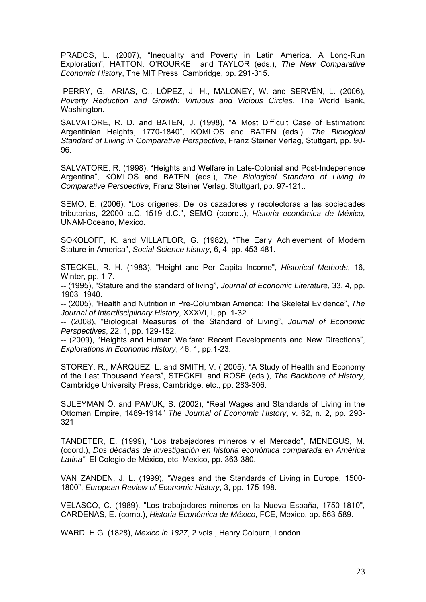PRADOS, L. (2007), "Inequality and Poverty in Latin America. A Long-Run Exploration", HATTON, O'ROURKE and TAYLOR (eds.), *The New Comparative Economic History*, The MIT Press, Cambridge, pp. 291-315.

 PERRY, G., ARIAS, O., LÓPEZ, J. H., MALONEY, W. and SERVÉN, L. (2006), *Poverty Reduction and Growth: Virtuous and Vicious Circles*, The World Bank, Washington.

SALVATORE, R. D. and BATEN, J. (1998), "A Most Difficult Case of Estimation: Argentinian Heights, 1770-1840", KOMLOS and BATEN (eds.), *The Biological Standard of Living in Comparative Perspective*, Franz Steiner Verlag, Stuttgart, pp. 90- 96.

SALVATORE, R. (1998), "Heights and Welfare in Late-Colonial and Post-Indepenence Argentina", KOMLOS and BATEN (eds.), *The Biological Standard of Living in Comparative Perspective*, Franz Steiner Verlag, Stuttgart, pp. 97-121..

SEMO, E. (2006), "Los orígenes. De los cazadores y recolectoras a las sociedades tributarias, 22000 a.C.-1519 d.C.", SEMO (coord..), *Historia económica de México*, UNAM-Oceano, Mexico.

SOKOLOFF, K. and VILLAFLOR, G. (1982), "The Early Achievement of Modern Stature in America", *Social Science history*, 6, 4, pp. 453-481.

STECKEL, R. H. (1983), "Height and Per Capita Income", *Historical Methods*, 16, Winter, pp. 1-7.

-- (1995), "Stature and the standard of living", *Journal of Economic Literature*, 33, 4*,* pp. 1903–1940.

-- (2005), "Health and Nutrition in Pre-Columbian America: The Skeletal Evidence", *The Journal of Interdisciplinary History*, XXXVI, I, pp. 1-32.

-- (2008), "Biological Measures of the Standard of Living", *Journal of Economic Perspectives*, 22, 1, pp. 129-152.

-- (2009), "Heights and Human Welfare: Recent Developments and New Directions", *Explorations in Economic History*, 46, 1, pp.1-23.

STOREY, R., MÁRQUEZ, L. and SMITH, V. ( 2005), "A Study of Health and Economy of the Last Thousand Years", STECKEL and ROSE (eds.), *The Backbone of History*, Cambridge University Press, Cambridge, etc., pp. 283-306.

SULEYMAN Ö. and PAMUK, S. (2002), "Real Wages and Standards of Living in the Ottoman Empire, 1489-1914" *The Journal of Economic History*, v. 62, n. 2, pp. 293- 321.

TANDETER, E. (1999), "Los trabajadores mineros y el Mercado", MENEGUS, M. (coord.), *Dos décadas de investigación en historia económica comparada en América Latina"*, El Colegio de México, etc. Mexico, pp. 363-380.

VAN ZANDEN, J. L. (1999), "Wages and the Standards of Living in Europe, 1500- 1800", *European Review of Economic History*, 3, pp. 175-198.

VELASCO, C. (1989). "Los trabajadores mineros en la Nueva España, 1750-1810", CARDENAS, E. (comp.), *Historia Económica de México*, FCE, Mexico, pp. 563-589.

WARD, H.G. (1828), *Mexico in 1827*, 2 vols., Henry Colburn, London.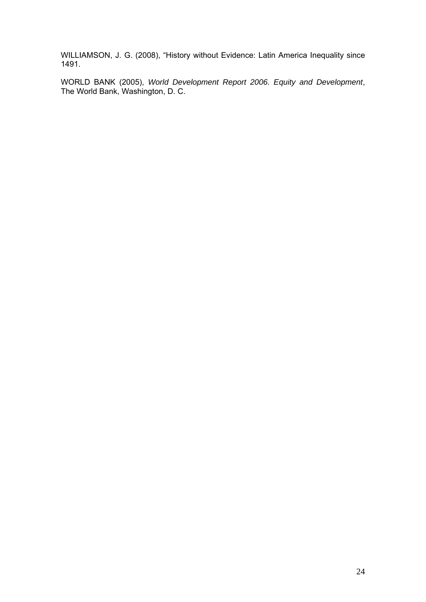WILLIAMSON, J. G. (2008), "History without Evidence: Latin America Inequality since 1491.

WORLD BANK (2005), *World Development Report 2006. Equity and Development*, The World Bank, Washington, D. C.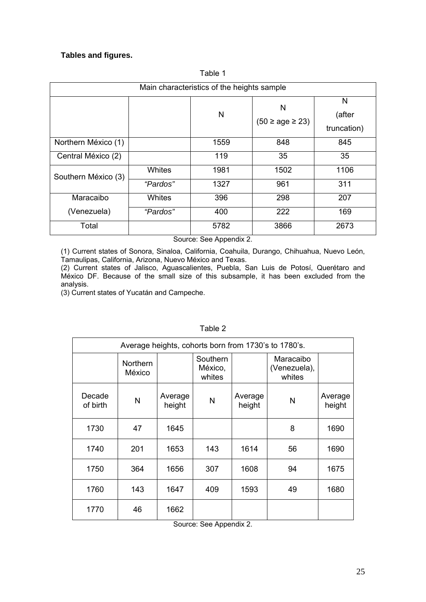# **Tables and figures.**

| Main characteristics of the heights sample |               |      |                     |                            |
|--------------------------------------------|---------------|------|---------------------|----------------------------|
|                                            |               | N    | N<br>$(50 \geq 23)$ | N<br>(after<br>truncation) |
| Northern México (1)                        |               | 1559 | 848                 | 845                        |
| Central México (2)                         |               | 119  | 35                  | 35                         |
| Southern México (3)                        | <b>Whites</b> | 1981 | 1502                | 1106                       |
|                                            | "Pardos"      | 1327 | 961                 | 311                        |
| Maracaibo                                  | Whites        | 396  | 298                 | 207                        |
| (Venezuela)                                | "Pardos"      | 400  | 222                 | 169                        |
| Total                                      |               | 5782 | 3866                | 2673                       |

Table 1

Source: See Appendix 2.

(1) Current states of Sonora, Sinaloa, California, Coahuila, Durango, Chihuahua, Nuevo León, Tamaulipas, California, Arizona, Nuevo México and Texas.

(2) Current states of Jalisco, Aguascalientes, Puebla, San Luis de Potosí, Querétaro and México DF. Because of the small size of this subsample, it has been excluded from the analysis.

(3) Current states of Yucatán and Campeche.

| Average heights, cohorts born from 1730's to 1780's. |                    |                   |                               |                   |                                     |                   |
|------------------------------------------------------|--------------------|-------------------|-------------------------------|-------------------|-------------------------------------|-------------------|
|                                                      | Northern<br>México |                   | Southern<br>México,<br>whites |                   | Maracaibo<br>(Venezuela),<br>whites |                   |
| Decade<br>of birth                                   | $\mathsf{N}$       | Average<br>height | N                             | Average<br>height | N                                   | Average<br>height |
| 1730                                                 | 47                 | 1645              |                               |                   | 8                                   | 1690              |
| 1740                                                 | 201                | 1653              | 143                           | 1614              | 56                                  | 1690              |
| 1750                                                 | 364                | 1656              | 307                           | 1608              | 94                                  | 1675              |
| 1760                                                 | 143                | 1647              | 409                           | 1593              | 49                                  | 1680              |
| 1770                                                 | 46                 | 1662              |                               |                   |                                     |                   |

Table 2

Source: See Appendix 2.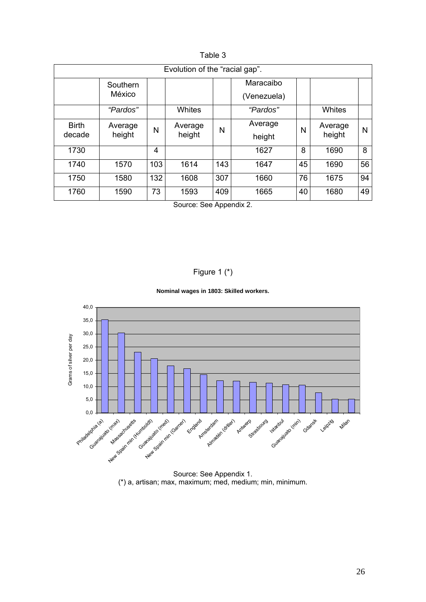| Evolution of the "racial gap". |                    |     |                   |     |                          |    |                   |    |
|--------------------------------|--------------------|-----|-------------------|-----|--------------------------|----|-------------------|----|
|                                | Southern<br>México |     |                   |     | Maracaibo<br>(Venezuela) |    |                   |    |
|                                | "Pardos"           |     | <b>Whites</b>     |     | "Pardos"                 |    | <b>Whites</b>     |    |
| <b>Birth</b><br>decade         | Average<br>height  | N   | Average<br>height | N   | Average<br>height        | N  | Average<br>height | N  |
| 1730                           |                    | 4   |                   |     | 1627                     | 8  | 1690              | 8  |
| 1740                           | 1570               | 103 | 1614              | 143 | 1647                     | 45 | 1690              | 56 |
| 1750                           | 1580               | 132 | 1608              | 307 | 1660                     | 76 | 1675              | 94 |
| 1760                           | 1590               | 73  | 1593              | 409 | 1665                     | 40 | 1680              | 49 |
| Source: See Appendix 2.        |                    |     |                   |     |                          |    |                   |    |

Table 3

Figure 1 (\*)





Source: See Appendix 1. (\*) a, artisan; max, maximum; med, medium; min, minimum.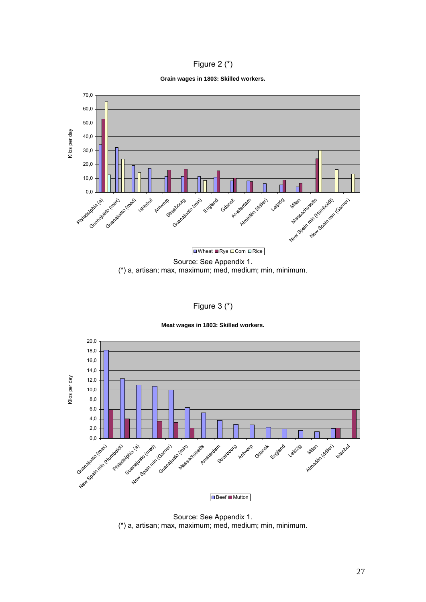

**Grain wages in 1803: Skilled workers.**



Figure 3 (\*)

**Meat wages in 1803: Skilled workers.**



Source: See Appendix 1. (\*) a, artisan; max, maximum; med, medium; min, minimum.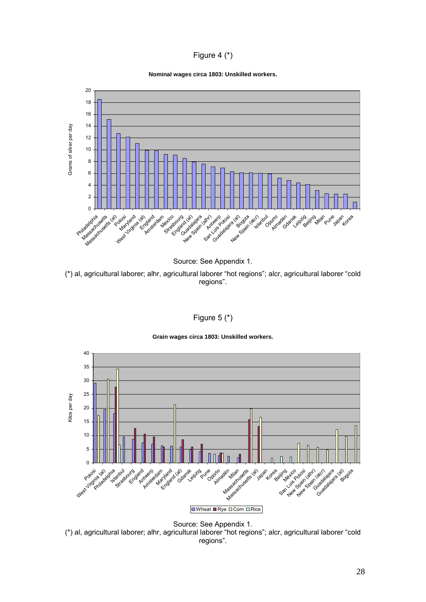# Figure 4 (\*)

#### **Nominal wages circa 1803: Unskilled workers.**



Source: See Appendix 1.

(\*) al, agricultural laborer; alhr, agricultural laborer "hot regions"; alcr, agricultural laborer "cold regions".

# Figure 5 (\*)



**Grain wages circa 1803: Unskilled workers.**

Source: See Appendix 1. (\*) al, agricultural laborer; alhr, agricultural laborer "hot regions"; alcr, agricultural laborer "cold regions".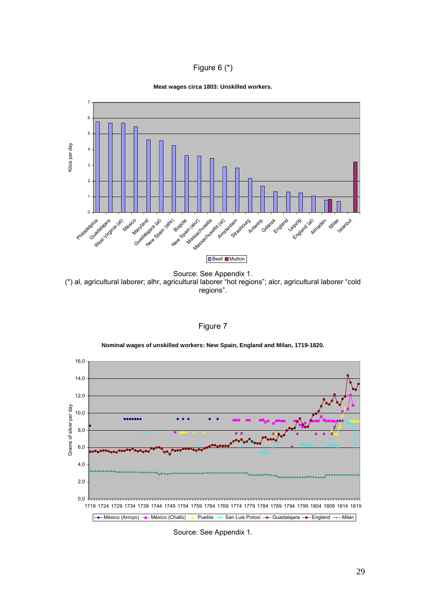# Figure 6 (\*)





(\*) al, agricultural laborer; alhr, agricultural laborer "hot regions"; alcr, agricultural laborer "cold regions".



**Nominal wages of unskilled workers: New Spain, England and Milan, 1719-1820.**



Source: See Appendix 1.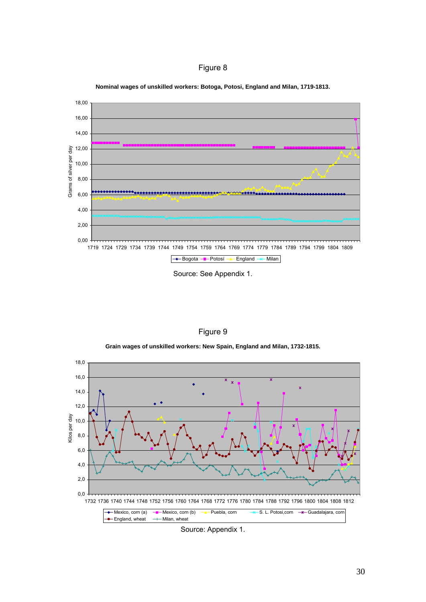



**Nominal wages of unskilled workers: Botoga, Potosi, England and Milan, 1719-1813.**

Source: See Appendix 1.

|  | iaure |  |
|--|-------|--|
|  |       |  |

**Grain wages of unskilled workers: New Spain, England and Milan, 1732-1815.**



Source: Appendix 1.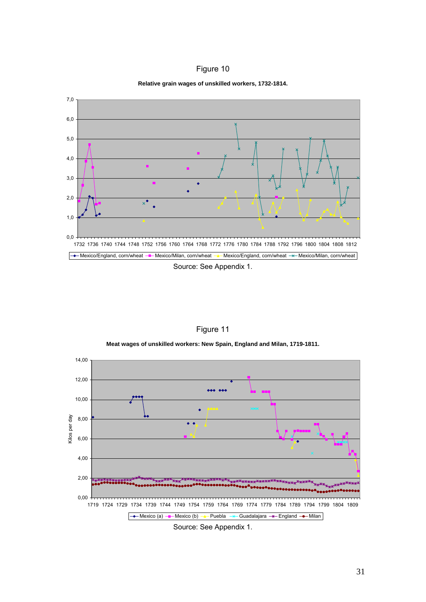



**Relative grain wages of unskilled workers, 1732-1814.**

14,00 12,00 **AAA** AA 10,00 Kilos per day Kilos per day 8,00  $\bullet$   $\bullet$ 6,00 4,00 2,00 0,00 1719 1724 1729 1734 1739 1744 1749 1754 1759 1764 1769 1774 1779 1784 1789 1794 1799 1804 1809  $\rightarrow$ Mexico (a)  $\rightarrow$ Mexico (b)  $\rightarrow$ Puebla  $\rightarrow$ Guadalajara  $\rightarrow$ England  $\rightarrow$ Milan Source: See Appendix 1.

Figure 11

**Meat wages of unskilled workers: New Spain, England and Milan, 1719-1811.**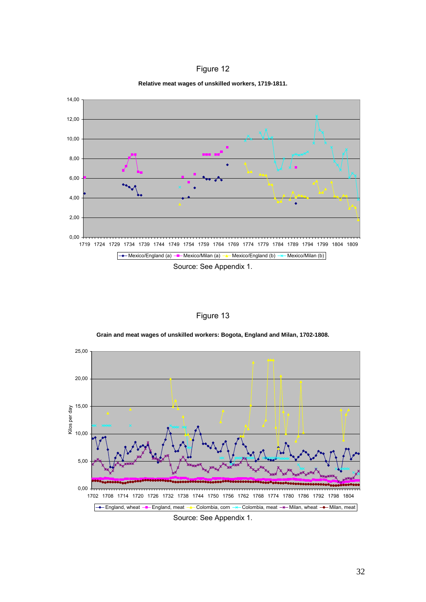



**Relative meat wages of unskilled workers, 1719-1811.**

Figure 13



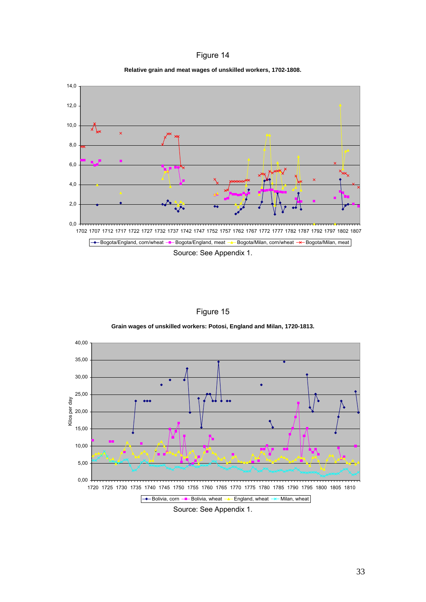| Figure 14 |  |
|-----------|--|
|           |  |

**Relative grain and meat wages of unskilled workers, 1702-1808.**



Figure 15

**Grain wages of unskilled workers: Potosi, England and Milan, 1720-1813.**

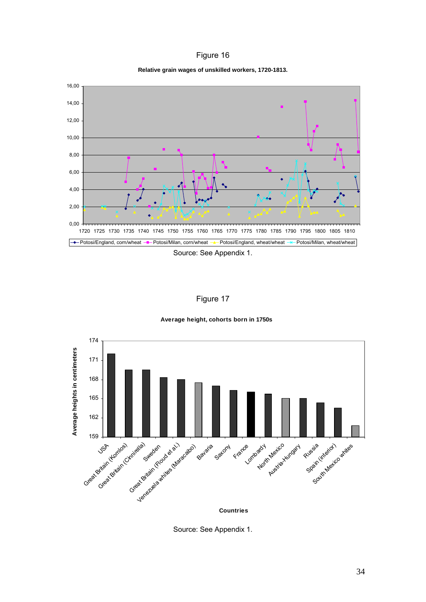| Figure 16 |  |
|-----------|--|
|           |  |

**Relative grain wages of unskilled workers, 1720-1813.**



Figure 17

**Average height, cohorts born in 1750s**



Source: See Appendix 1.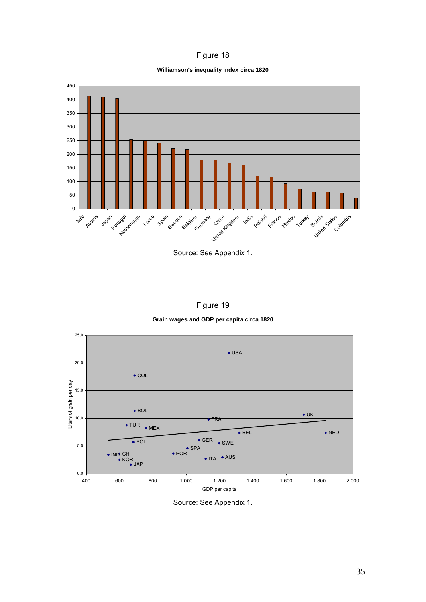# Figure 18

#### **Williamson's inequality index circa 1820**



Source: See Appendix 1.



## **Grain wages and GDP per capita circa 1820**



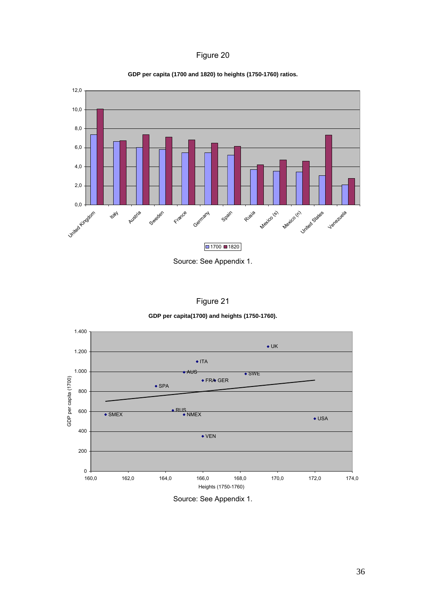# Figure 20



**GDP per capita (1700 and 1820) to heights (1750-1760) ratios.**



| iaure |  |
|-------|--|
|       |  |

## **GDP per capita(1700) and heights (1750-1760).**



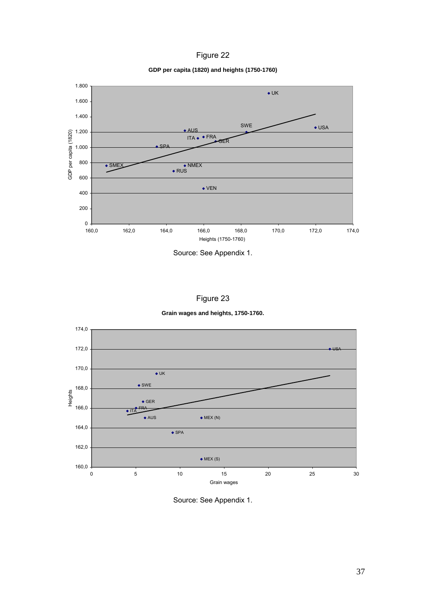| iqure |  |
|-------|--|
|-------|--|

**GDP per capita (1820) and heights (1750-1760)**



Source: See Appendix 1.

|  | iaure |  |
|--|-------|--|
|--|-------|--|

**Grain wages and heights, 1750-1760.**



Source: See Appendix 1.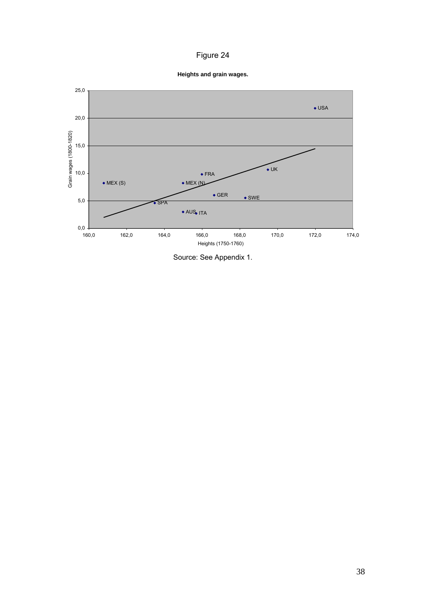# Figure 24

**Heights and grain wages.**



Source: See Appendix 1.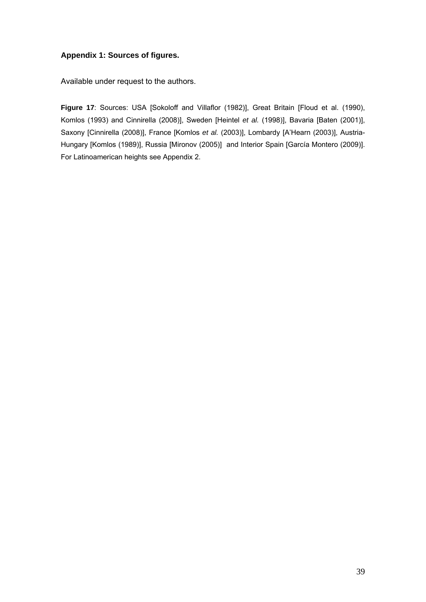# **Appendix 1: Sources of figures.**

Available under request to the authors.

Figure 17: Sources: USA [Sokoloff and Villaflor (1982)], Great Britain [Floud et al. (1990), Komlos (1993) and Cinnirella (2008)], Sweden [Heintel *et al.* (1998)], Bavaria [Baten (2001)], Saxony [Cinnirella (2008)], France [Komlos *et al.* (2003)], Lombardy [A'Hearn (2003)], Austria-Hungary [Komlos (1989)], Russia [Mironov (2005)] and Interior Spain [García Montero (2009)]. For Latinoamerican heights see Appendix 2.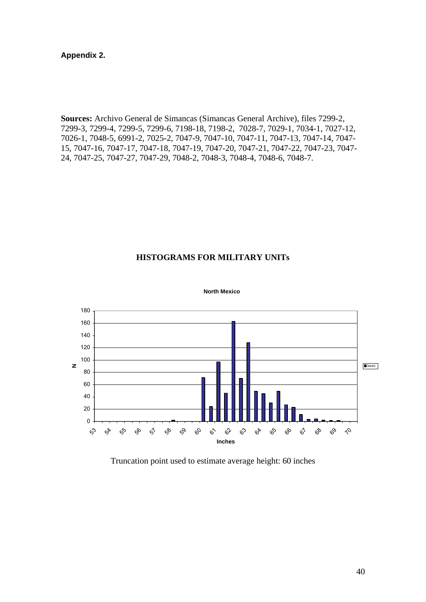# **Appendix 2.**

**Sources:** Archivo General de Simancas (Simancas General Archive), files 7299-2, 7299-3, 7299-4, 7299-5, 7299-6, 7198-18, 7198-2, 7028-7, 7029-1, 7034-1, 7027-12, 7026-1, 7048-5, 6991-2, 7025-2, 7047-9, 7047-10, 7047-11, 7047-13, 7047-14, 7047- 15, 7047-16, 7047-17, 7047-18, 7047-19, 7047-20, 7047-21, 7047-22, 7047-23, 7047- 24, 7047-25, 7047-27, 7047-29, 7048-2, 7048-3, 7048-4, 7048-6, 7048-7.

# **HISTOGRAMS FOR MILITARY UNITs**



**North Mexico**

Truncation point used to estimate average height: 60 inches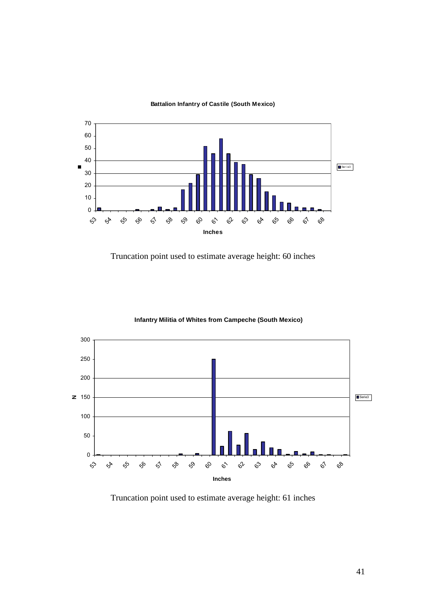

#### **Battalion Infantry of Castile (South Mexico)**

Truncation point used to estimate average height: 60 inches



## **Infantry Militia of Whites from Campeche (South Mexico)**

Truncation point used to estimate average height: 61 inches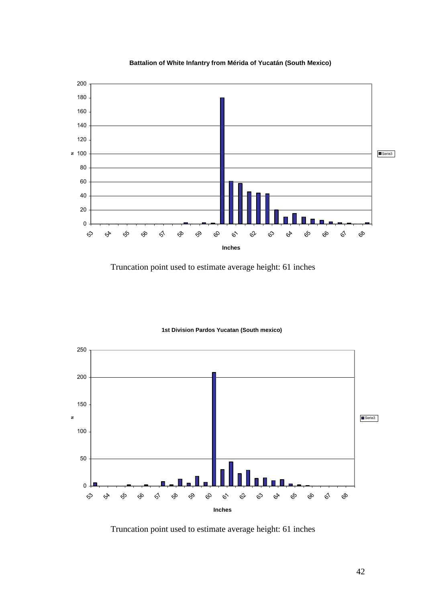

**Battalion of White Infantry from Mérida of Yucatán (South Mexico)**

Truncation point used to estimate average height: 61 inches



#### **1st Division Pardos Yucatan (South mexico)**

Truncation point used to estimate average height: 61 inches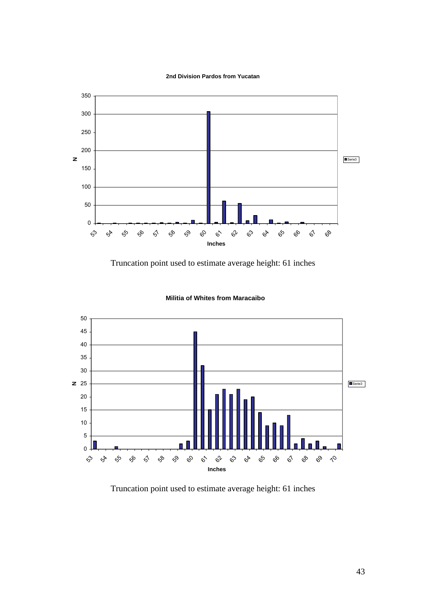**2nd Division Pardos from Yucatan**



Truncation point used to estimate average height: 61 inches



## **Militia of Whites from Maracaibo**

Truncation point used to estimate average height: 61 inches